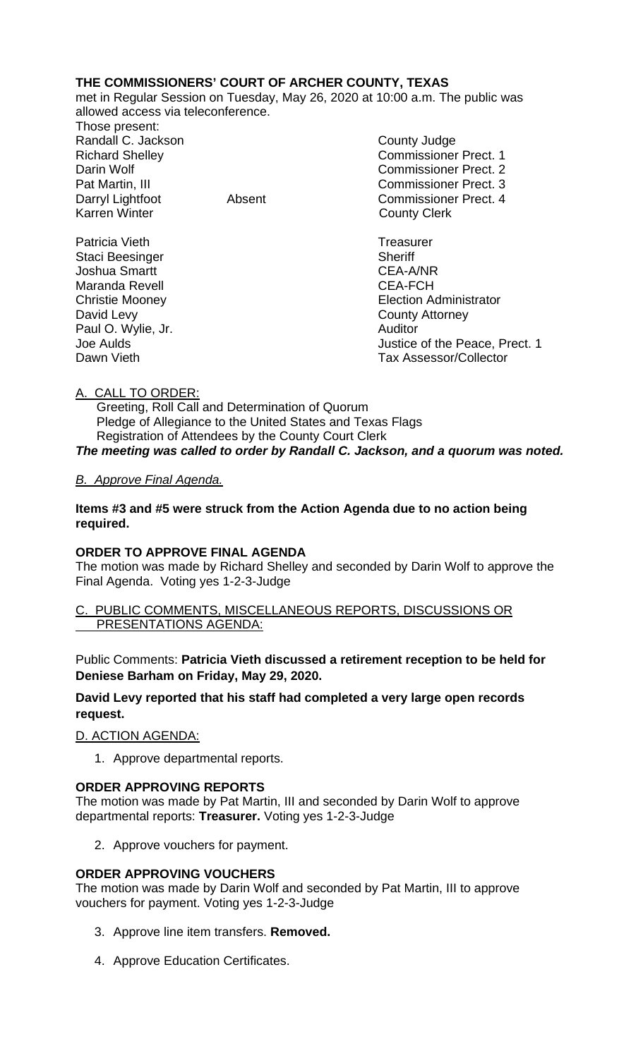## **THE COMMISSIONERS' COURT OF ARCHER COUNTY, TEXAS**

met in Regular Session on Tuesday, May 26, 2020 at 10:00 a.m. The public was allowed access via teleconference.

Those present: Randall C. Jackson County Judge Karren Winter **County Clerk** 

Patricia Vieth **Treasurer Treasurer** Staci Beesinger Sheriff Joshua Smartt CEA-A/NR Maranda Revell **Maranda** Revell **CEA-FCH** David Levy **County Attorney** Paul O. Wylie, Jr. Auditor

Richard Shelley Commissioner Prect. 1 Darin Wolf Commissioner Prect. 2 Pat Martin, III Commissioner Prect. 3 Darryl Lightfoot **Absent** Commissioner Prect. 4

Christie Mooney Election Administrator Joe Aulds<br>
Dawn Vieth Communication of the Peace, Prect. 1<br>
Tax Assessor/Collector Tax Assessor/Collector

# A. CALL TO ORDER:

 Greeting, Roll Call and Determination of Quorum Pledge of Allegiance to the United States and Texas Flags Registration of Attendees by the County Court Clerk *The meeting was called to order by Randall C. Jackson, and a quorum was noted.*

### *B. Approve Final Agenda.*

**Items #3 and #5 were struck from the Action Agenda due to no action being required.**

### **ORDER TO APPROVE FINAL AGENDA**

The motion was made by Richard Shelley and seconded by Darin Wolf to approve the Final Agenda. Voting yes 1-2-3-Judge

#### C. PUBLIC COMMENTS, MISCELLANEOUS REPORTS, DISCUSSIONS OR PRESENTATIONS AGENDA:

Public Comments: **Patricia Vieth discussed a retirement reception to be held for Deniese Barham on Friday, May 29, 2020.**

### **David Levy reported that his staff had completed a very large open records request.**

D. ACTION AGENDA:

1. Approve departmental reports.

### **ORDER APPROVING REPORTS**

The motion was made by Pat Martin, III and seconded by Darin Wolf to approve departmental reports: **Treasurer.** Voting yes 1-2-3-Judge

2. Approve vouchers for payment.

### **ORDER APPROVING VOUCHERS**

The motion was made by Darin Wolf and seconded by Pat Martin, III to approve vouchers for payment. Voting yes 1-2-3-Judge

- 3. Approve line item transfers. **Removed.**
- 4. Approve Education Certificates.